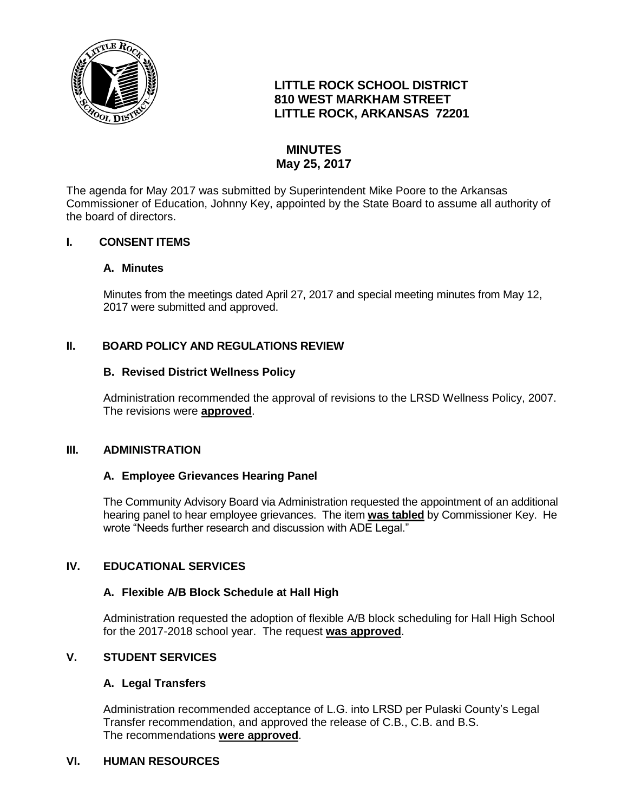

# **LITTLE ROCK SCHOOL DISTRICT 810 WEST MARKHAM STREET LITTLE ROCK, ARKANSAS 72201**

# **MINUTES May 25, 2017**

The agenda for May 2017 was submitted by Superintendent Mike Poore to the Arkansas Commissioner of Education, Johnny Key, appointed by the State Board to assume all authority of the board of directors.

## **I. CONSENT ITEMS**

#### **A. Minutes**

Minutes from the meetings dated April 27, 2017 and special meeting minutes from May 12, 2017 were submitted and approved.

## **II. BOARD POLICY AND REGULATIONS REVIEW**

#### **B. Revised District Wellness Policy**

Administration recommended the approval of revisions to the LRSD Wellness Policy, 2007. The revisions were **approved**.

#### **III. ADMINISTRATION**

#### **A. Employee Grievances Hearing Panel**

The Community Advisory Board via Administration requested the appointment of an additional hearing panel to hear employee grievances. The item **was tabled** by Commissioner Key. He wrote "Needs further research and discussion with ADE Legal."

#### **IV. EDUCATIONAL SERVICES**

#### **A. Flexible A/B Block Schedule at Hall High**

Administration requested the adoption of flexible A/B block scheduling for Hall High School for the 2017-2018 school year. The request **was approved**.

# **V. STUDENT SERVICES**

#### **A. Legal Transfers**

Administration recommended acceptance of L.G. into LRSD per Pulaski County's Legal Transfer recommendation, and approved the release of C.B., C.B. and B.S. The recommendations **were approved**.

#### **VI. HUMAN RESOURCES**